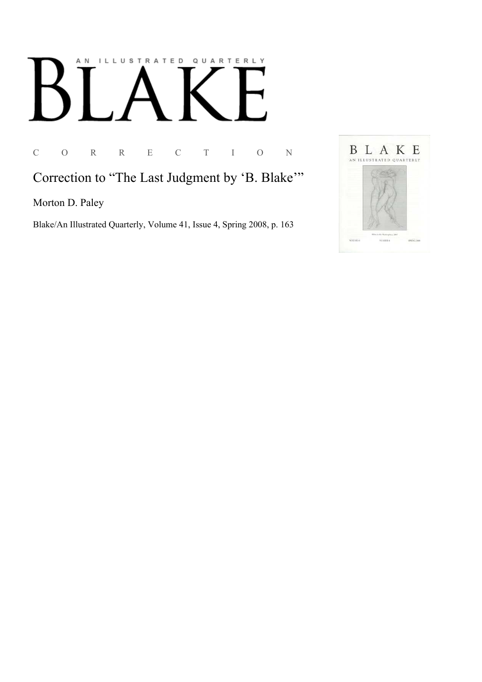## AN ILLUSTRATED QUARTERLY

C O R R E C T I O N

Correction to "The Last Judgment by 'B. Blake"

Morton D. Paley

Blake/An Illustrated Quarterly, Volume 41, Issue 4, Spring 2008, p. 163